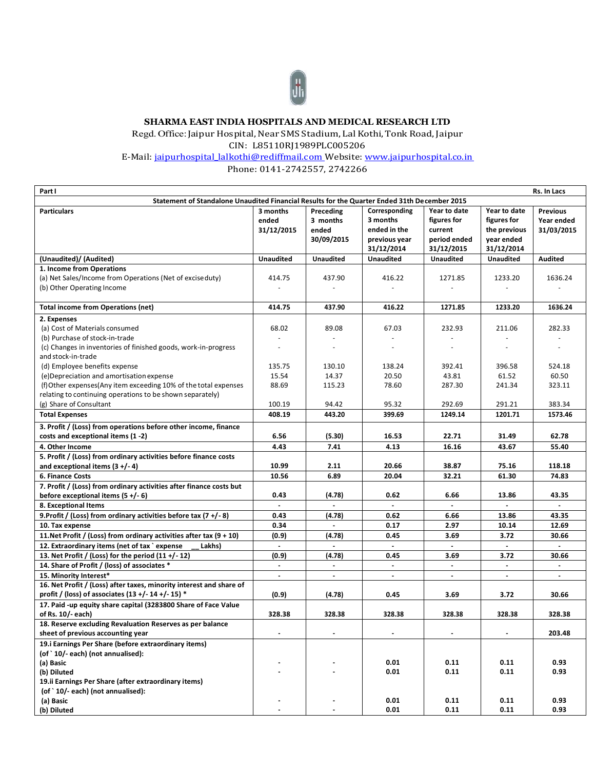

## **SHARMA EAST INDIA HOSPITALS AND MEDICAL RESEARCH LTD**

Regd. Office: Jaipur Hospital, Near SMS Stadium, Lal Kothi, Tonk Road, Jaipur

CIN: L85110RJ1989PLC005206

E-Mail: [jaipurhospital\\_lalkothi@rediffmail.com W](mailto:jaipurhospital_lalkothi@rediffmail.com)ebsite: www.jaipurhospital.co.in

Phone: 0141-2742557, 2742266

| Part I                                                                                       |                  |                |                             |                  |                             | Rs. In Lacs                 |
|----------------------------------------------------------------------------------------------|------------------|----------------|-----------------------------|------------------|-----------------------------|-----------------------------|
| Statement of Standalone Unaudited Financial Results for the Quarter Ended 31th December 2015 |                  |                |                             |                  |                             |                             |
| <b>Particulars</b>                                                                           | 3 months         | Preceding      | Corresponding               | Year to date     | Year to date                | <b>Previous</b>             |
|                                                                                              | ended            | 3 months       | 3 months                    | figures for      | figures for                 | Year ended                  |
|                                                                                              | 31/12/2015       | ended          | ended in the                | current          | the previous                | 31/03/2015                  |
|                                                                                              |                  | 30/09/2015     | previous year               | period ended     | year ended                  |                             |
|                                                                                              |                  |                | 31/12/2014                  | 31/12/2015       | 31/12/2014                  |                             |
| (Unaudited)/ (Audited)                                                                       | <b>Unaudited</b> | Unaudited      | <b>Unaudited</b>            | <b>Unaudited</b> | <b>Unaudited</b>            | <b>Audited</b>              |
| 1. Income from Operations                                                                    |                  |                |                             |                  |                             |                             |
| (a) Net Sales/Income from Operations (Net of excise duty)                                    | 414.75           | 437.90         | 416.22                      | 1271.85          | 1233.20                     | 1636.24                     |
| (b) Other Operating Income                                                                   |                  |                |                             |                  |                             |                             |
|                                                                                              |                  |                |                             |                  |                             |                             |
| <b>Total income from Operations (net)</b>                                                    | 414.75           | 437.90         | 416.22                      | 1271.85          | 1233.20                     | 1636.24                     |
| 2. Expenses                                                                                  |                  |                |                             |                  |                             |                             |
| (a) Cost of Materials consumed                                                               | 68.02            | 89.08          | 67.03                       | 232.93           | 211.06                      | 282.33                      |
| (b) Purchase of stock-in-trade                                                               |                  |                |                             |                  |                             |                             |
|                                                                                              |                  |                | $\overline{a}$              | $\overline{a}$   |                             |                             |
| (c) Changes in inventories of finished goods, work-in-progress                               |                  |                |                             |                  |                             |                             |
| and stock-in-trade                                                                           |                  |                |                             |                  |                             |                             |
| (d) Employee benefits expense                                                                | 135.75           | 130.10         | 138.24                      | 392.41           | 396.58                      | 524.18                      |
| (e) Depreciation and amortisation expense                                                    | 15.54            | 14.37          | 20.50                       | 43.81            | 61.52                       | 60.50                       |
| (f) Other expenses(Any item exceeding 10% of the total expenses                              | 88.69            | 115.23         | 78.60                       | 287.30           | 241.34                      | 323.11                      |
| relating to continuing operations to be shown separately)                                    |                  |                |                             |                  |                             |                             |
| (g) Share of Consultant                                                                      | 100.19           | 94.42          | 95.32                       | 292.69           | 291.21                      | 383.34                      |
| <b>Total Expenses</b>                                                                        | 408.19           | 443.20         | 399.69                      | 1249.14          | 1201.71                     | 1573.46                     |
| 3. Profit / (Loss) from operations before other income, finance                              |                  |                |                             |                  |                             |                             |
| costs and exceptional items (1-2)                                                            | 6.56             | (5.30)         | 16.53                       | 22.71            | 31.49                       | 62.78                       |
| 4. Other Income                                                                              | 4.43             | 7.41           | 4.13                        | 16.16            | 43.67                       | 55.40                       |
| 5. Profit / (Loss) from ordinary activities before finance costs                             |                  |                |                             |                  |                             |                             |
| and exceptional items $(3 + (-4))$                                                           | 10.99            | 2.11           | 20.66                       | 38.87            | 75.16                       | 118.18                      |
| <b>6. Finance Costs</b>                                                                      | 10.56            | 6.89           | 20.04                       | 32.21            | 61.30                       | 74.83                       |
| 7. Profit / (Loss) from ordinary activities after finance costs but                          |                  |                |                             |                  |                             |                             |
| before exceptional items $(5 +/-6)$                                                          | 0.43             | (4.78)         | 0.62                        | 6.66             | 13.86                       | 43.35                       |
| 8. Exceptional Items                                                                         | $\blacksquare$   | $\blacksquare$ | $\blacksquare$              |                  |                             |                             |
| 9. Profit / (Loss) from ordinary activities before tax $(7 + (-8))$                          | 0.43             | (4.78)         | 0.62                        | 6.66             | 13.86                       | 43.35                       |
| 10. Tax expense                                                                              | 0.34             |                | 0.17                        | 2.97             | 10.14                       | 12.69                       |
| 11. Net Profit / (Loss) from ordinary activities after tax $(9 + 10)$                        | (0.9)            | (4.78)         | 0.45                        | 3.69             | 3.72                        | 30.66                       |
| 12. Extraordinary items (net of tax `expense<br>Lakhs)                                       |                  |                |                             |                  |                             |                             |
| 13. Net Profit / (Loss) for the period $(11 + / -12)$                                        | (0.9)            | (4.78)         | 0.45                        | 3.69             | 3.72                        | 30.66                       |
| 14. Share of Profit / (loss) of associates *                                                 | $\sim$           | $\sim$         | $\mathcal{L}^{\mathcal{L}}$ | $\omega$         | $\mathcal{L}^{\mathcal{A}}$ | $\mathcal{L}^{\mathcal{A}}$ |
| 15. Minority Interest*                                                                       | $\blacksquare$   | $\blacksquare$ | $\blacksquare$              | $\blacksquare$   | $\blacksquare$              | $\blacksquare$              |
| 16. Net Profit / (Loss) after taxes, minority interest and share of                          |                  |                |                             |                  |                             |                             |
| profit / (loss) of associates (13 +/- 14 +/- 15) *                                           | (0.9)            | (4.78)         | 0.45                        | 3.69             | 3.72                        | 30.66                       |
| 17. Paid -up equity share capital (3283800 Share of Face Value                               |                  |                |                             |                  |                             |                             |
| of Rs. 10/- each)                                                                            | 328.38           | 328.38         | 328.38                      | 328.38           | 328.38                      | 328.38                      |
| 18. Reserve excluding Revaluation Reserves as per balance                                    |                  |                |                             |                  |                             |                             |
| sheet of previous accounting year                                                            |                  |                | $\blacksquare$              | $\blacksquare$   |                             | 203.48                      |
| 19.i Earnings Per Share (before extraordinary items)                                         |                  |                |                             |                  |                             |                             |
| (of `10/- each) (not annualised):                                                            |                  |                |                             |                  |                             |                             |
| (a) Basic                                                                                    |                  |                | 0.01                        | 0.11             | 0.11                        | 0.93                        |
| (b) Diluted                                                                                  |                  |                | 0.01                        | 0.11             | 0.11                        | 0.93                        |
| 19.ii Earnings Per Share (after extraordinary items)                                         |                  |                |                             |                  |                             |                             |
| (of `10/-each) (not annualised):                                                             |                  |                |                             |                  |                             |                             |
|                                                                                              |                  |                | 0.01                        | 0.11             | 0.11                        | 0.93                        |
| (a) Basic<br>(b) Diluted                                                                     |                  |                | 0.01                        | 0.11             | 0.11                        | 0.93                        |
|                                                                                              |                  |                |                             |                  |                             |                             |